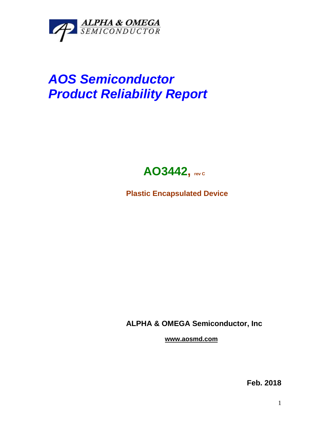

## *AOS Semiconductor Product Reliability Report*



**Plastic Encapsulated Device**

**ALPHA & OMEGA Semiconductor, Inc**

**www.aosmd.com**

**Feb. 2018**